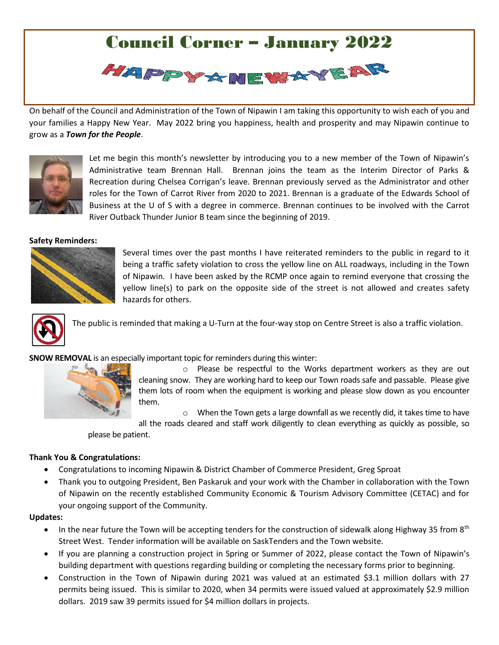## Council Corner – January 2022 HAPPY A NEWAYEAR

On behalf of the C[ouncil and](http://www.pngall.com/happy-new-year-png) Administration of the Town o[f Nipawin](https://creativecommons.org/licenses/by-nc/3.0/) I am taking this opportunity to wish each of you and your families a Happy New Year. May 2022 bring you happiness, health and prosperity and may Nipawin continue to grow as a *Town for the People*. This Photo by Unknown Author is licensed under CC BY-NC



Let me begin this month's newsletter by introducing you to a new member of the Town of Nipawin's Administrative team Brennan Hall. Brennan joins the team as the Interim Director of Parks & Recreation during Chelsea Corrigan's leave. Brennan previously served as the Administrator and other roles for the Town of Carrot River from 2020 to 2021. Brennan is a graduate of the Edwards School of Business at the U of S with a degree in commerce. Brennan continues to be involved with the Carrot River Outback Thunder Junior B team since the beginning of 2019.

## **Safety Reminders:**



Several times over the past months I have reiterated reminders to the public in regard to it being a traffic safety violation to cross the yellow line on ALL roadways, including in the Town of Nipawin. I have been asked by the RCMP once again to remind everyone that crossing the yellow line(s) to park on the opposite side of the street is not allowed and creates safety hazards for others.



The public is reminded that making a U-Turn at the four-way stop on Centre Street is also a traffic violation.

**SNOW REMOVAL** is an especially important topic for reminders during this winter:



o Please be respectful to the Works department workers as they are out cleaning snow. They are working hard to keep our Town roads safe and passable. Please give them lots of room when the equipment is working and please slow down as you encounter them.

 $\circ$  When the Town gets a large downfall as we recently did, it takes time to have all the roads cleared and staff work diligently to clean everything as quickly as possible, so

please be patient.

## **Thank You & Congratulations:**

- Congratulations to incoming Nipawin & District Chamber of Commerce President, Greg Sproat
- Thank you to outgoing President, Ben Paskaruk and your work with the Chamber in collaboration with the Town of Nipawin on the recently established Community Economic & Tourism Advisory Committee (CETAC) and for your ongoing support of the Community.

## **Updates:**

- In the near future the Town will be accepting tenders for the construction of sidewalk along Highway 35 from  $8<sup>th</sup>$ Street West. Tender information will be available on SaskTenders and the Town website.
- If you are planning a construction project in Spring or Summer of 2022, please contact the Town of Nipawin's building department with questions regarding building or completing the necessary forms prior to beginning.
- Construction in the Town of Nipawin during 2021 was valued at an estimated \$3.1 million dollars with 27 permits being issued. This is similar to 2020, when 34 permits were issued valued at approximately \$2.9 million dollars. 2019 saw 39 permits issued for \$4 million dollars in projects.